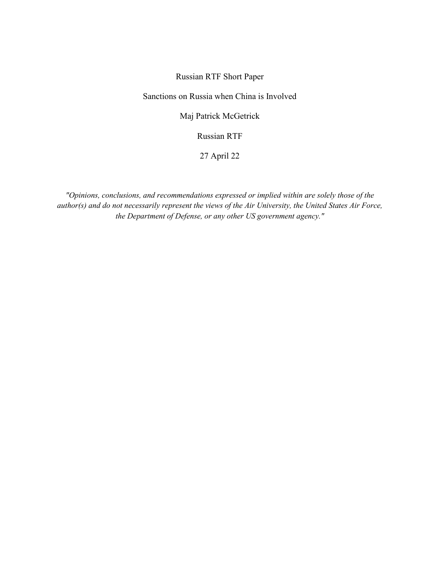## Russian RTF Short Paper

Sanctions on Russia when China is Involved

Maj Patrick McGetrick

Russian RTF

27 April 22

*"Opinions, conclusions, and recommendations expressed or implied within are solely those of the author(s) and do not necessarily represent the views of the Air University, the United States Air Force, the Department of Defense, or any other US government agency."*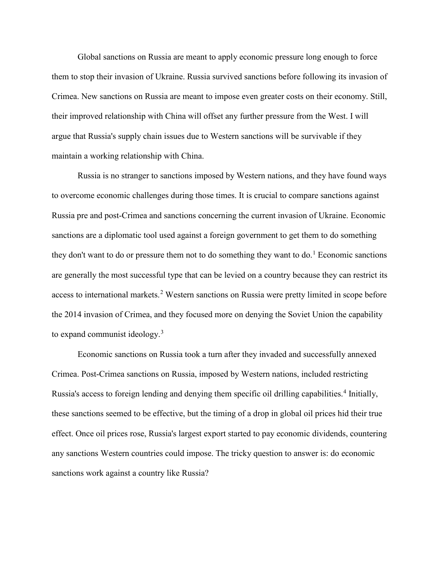Global sanctions on Russia are meant to apply economic pressure long enough to force them to stop their invasion of Ukraine. Russia survived sanctions before following its invasion of Crimea. New sanctions on Russia are meant to impose even greater costs on their economy. Still, their improved relationship with China will offset any further pressure from the West. I will argue that Russia's supply chain issues due to Western sanctions will be survivable if they maintain a working relationship with China.

Russia is no stranger to sanctions imposed by Western nations, and they have found ways to overcome economic challenges during those times. It is crucial to compare sanctions against Russia pre and post-Crimea and sanctions concerning the current invasion of Ukraine. Economic sanctions are a diplomatic tool used against a foreign government to get them to do something they don't want to do or pressure them not to do something they want to do.<sup>[1](#page-3-0)</sup> Economic sanctions are generally the most successful type that can be levied on a country because they can restrict its access to international markets.<sup>[2](#page-3-1)</sup> Western sanctions on Russia were pretty limited in scope before the 2014 invasion of Crimea, and they focused more on denying the Soviet Union the capability to expand communist ideology.<sup>[3](#page-3-2)</sup>

Economic sanctions on Russia took a turn after they invaded and successfully annexed Crimea. Post-Crimea sanctions on Russia, imposed by Western nations, included restricting Russia's access to foreign lending and denying them specific oil drilling capabilities.<sup>[4](#page-3-3)</sup> Initially, these sanctions seemed to be effective, but the timing of a drop in global oil prices hid their true effect. Once oil prices rose, Russia's largest export started to pay economic dividends, countering any sanctions Western countries could impose. The tricky question to answer is: do economic sanctions work against a country like Russia?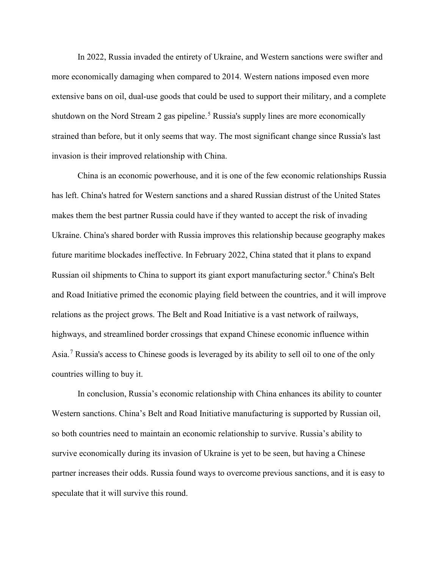In 2022, Russia invaded the entirety of Ukraine, and Western sanctions were swifter and more economically damaging when compared to 2014. Western nations imposed even more extensive bans on oil, dual-use goods that could be used to support their military, and a complete shutdown on the Nord Stream 2 gas pipeline.<sup>[5](#page-3-4)</sup> Russia's supply lines are more economically strained than before, but it only seems that way. The most significant change since Russia's last invasion is their improved relationship with China.

China is an economic powerhouse, and it is one of the few economic relationships Russia has left. China's hatred for Western sanctions and a shared Russian distrust of the United States makes them the best partner Russia could have if they wanted to accept the risk of invading Ukraine. China's shared border with Russia improves this relationship because geography makes future maritime blockades ineffective. In February 2022, China stated that it plans to expand Russian oil shipments to China to support its giant export manufacturing sector.[6](#page-3-5) China's Belt and Road Initiative primed the economic playing field between the countries, and it will improve relations as the project grows. The Belt and Road Initiative is a vast network of railways, highways, and streamlined border crossings that expand Chinese economic influence within Asia.[7](#page-3-6) Russia's access to Chinese goods is leveraged by its ability to sell oil to one of the only countries willing to buy it.

In conclusion, Russia's economic relationship with China enhances its ability to counter Western sanctions. China's Belt and Road Initiative manufacturing is supported by Russian oil, so both countries need to maintain an economic relationship to survive. Russia's ability to survive economically during its invasion of Ukraine is yet to be seen, but having a Chinese partner increases their odds. Russia found ways to overcome previous sanctions, and it is easy to speculate that it will survive this round.